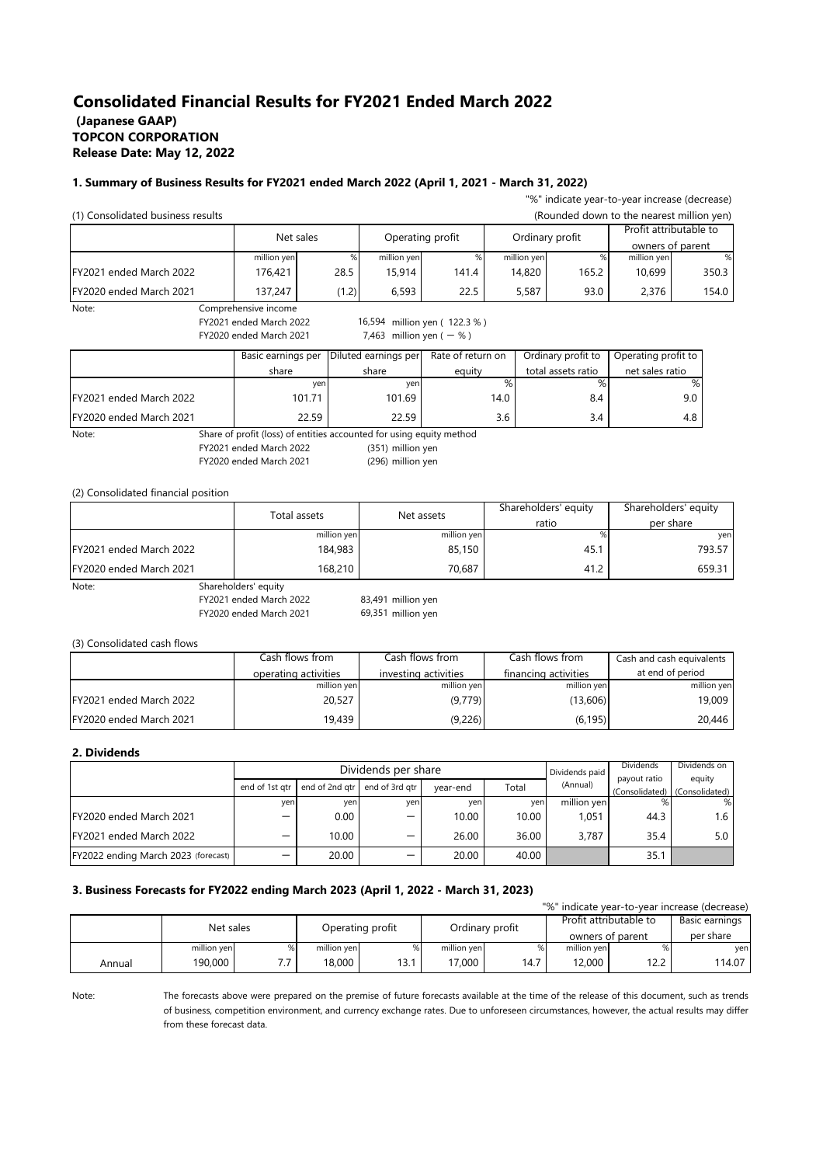## **Consolidated Financial Results for FY2021 Ended March 2022 (Japanese GAAP) TOPCON CORPORATION Release Date: May 12, 2022**

#### **1. Summary of Business Results for FY2021 ended March 2022 (April 1, 2021 - March 31, 2022)**

| "%" indicate year-to-year increase (decrease) |                                                                      |                                                                 |                              |             |      |                    |                      |                                           |        |
|-----------------------------------------------|----------------------------------------------------------------------|-----------------------------------------------------------------|------------------------------|-------------|------|--------------------|----------------------|-------------------------------------------|--------|
| (1) Consolidated business results             |                                                                      |                                                                 |                              |             |      |                    |                      | (Rounded down to the nearest million yen) |        |
|                                               | Net sales                                                            |                                                                 | Operating profit             |             |      | Ordinary profit    |                      | Profit attributable to                    |        |
|                                               |                                                                      |                                                                 |                              |             |      |                    |                      | owners of parent                          |        |
|                                               | million yen                                                          | $\%$                                                            | million yen                  | $\%$        |      | million yen        | %                    | million yen                               | %      |
| FY2021 ended March 2022                       | 176,421                                                              | 28.5                                                            | 15,914                       | 141.4       |      | 14,820             | 165.2                | 10,699                                    | 350.3  |
| FY2020 ended March 2021                       | 137,247                                                              | (1.2)                                                           | 6,593                        | 22.5        |      | 5,587              | 93.0                 | 2,376                                     | 154.0  |
| Note:                                         | Comprehensive income                                                 |                                                                 |                              |             |      |                    |                      |                                           |        |
|                                               | FY2021 ended March 2022                                              |                                                                 | 16,594 million yen (122.3 %) |             |      |                    |                      |                                           |        |
|                                               | FY2020 ended March 2021                                              |                                                                 | 7,463 million yen $(-% )$    |             |      |                    |                      |                                           |        |
|                                               |                                                                      | Diluted earnings per<br>Rate of return on<br>Basic earnings per |                              |             |      | Ordinary profit to |                      | Operating profit to                       |        |
|                                               | share                                                                |                                                                 | share                        | equity      |      | total assets ratio |                      | net sales ratio                           |        |
|                                               |                                                                      | yen                                                             | yen                          |             | $\%$ | $\%$               |                      | $\%$                                      |        |
| FY2021 ended March 2022                       |                                                                      | 101.71                                                          | 101.69                       |             | 14.0 | 8.4                |                      | 9.0                                       |        |
| FY2020 ended March 2021                       |                                                                      | 22.59                                                           | 22.59                        |             | 3.6  |                    | 3.4                  | 4.8                                       |        |
| Note:                                         | Share of profit (loss) of entities accounted for using equity method |                                                                 |                              |             |      |                    |                      |                                           |        |
|                                               | FY2021 ended March 2022                                              |                                                                 | (351) million yen            |             |      |                    |                      |                                           |        |
|                                               | FY2020 ended March 2021                                              |                                                                 | (296) million yen            |             |      |                    |                      |                                           |        |
|                                               |                                                                      |                                                                 |                              |             |      |                    |                      |                                           |        |
| (2) Consolidated financial position           |                                                                      |                                                                 |                              |             |      |                    |                      |                                           |        |
|                                               | Total assets                                                         |                                                                 |                              | Net assets  |      |                    | Shareholders' equity | Shareholders' equity                      |        |
|                                               |                                                                      |                                                                 |                              |             |      | ratio              |                      | per share                                 |        |
|                                               |                                                                      | million yen                                                     |                              | million yen |      |                    | %                    |                                           | yen    |
| FY2021 ended March 2022                       |                                                                      | 184,983                                                         |                              | 85,150      |      |                    | 45.1                 |                                           | 793.57 |
| FY2020 ended March 2021                       |                                                                      | 168,210                                                         |                              | 70,687      |      | 41.2               | 659.31               |                                           |        |

Note: Shareholders' equity

FY2021 ended March 2022 FY2020 ended March 2021

83,491 million yen 69,351 million yen

(3) Consolidated cash flows

|                          | Cash flows from      | Cash flows from      | Cash flows from      | Cash and cash equivalents |
|--------------------------|----------------------|----------------------|----------------------|---------------------------|
|                          | operating activities | investing activities | financing activities | at end of period          |
|                          | million yen          | million yen          | million yen          | million yen               |
| FY2021 ended March 2022  | 20,527               | (9,779)              | (13,606)             | 19,009                    |
| IFY2020 ended March 2021 | 19.439               | (9,226)              | (6, 195)             | 20,446                    |

### **2. Dividends**

|                                     |                          |                | Dividends per share | Dividends paid | Dividends | Dividends on |                                               |            |
|-------------------------------------|--------------------------|----------------|---------------------|----------------|-----------|--------------|-----------------------------------------------|------------|
|                                     | end of 1st atr           | end of 2nd gtr | end of 3rd gtr      | vear-end       | Total     | (Annual)     | payout ratio<br>(Consolidated) (Consolidated) | equity     |
|                                     | ven                      | ven            | ven                 | ven            | yen       | million yen  |                                               | %          |
| IFY2020 ended March 2021            | $\overline{\phantom{0}}$ | 0.00           | —                   | 10.00          | 10.00     | 1.051        | 44.3                                          | $1.6 \mid$ |
| FY2021 ended March 2022             | –                        | 10.00          | –                   | 26.00          | 36.00     | 3.787        | 35.4                                          | 5.0        |
| FY2022 ending March 2023 (forecast) | -                        | 20.00          | -                   | 20.00          | 40.00     |              | 35.1                                          |            |

## **3. Business Forecasts for FY2022 ending March 2023 (April 1, 2022 - March 31, 2023)**

|           |             |   |                  |      |                 |      |                        |                | "%" indicate year-to-year increase (decrease) |
|-----------|-------------|---|------------------|------|-----------------|------|------------------------|----------------|-----------------------------------------------|
| Net sales |             |   | Operating profit |      | Ordinary profit |      | Profit attributable to | Basic earnings |                                               |
|           |             |   |                  |      |                 |      | owners of parent       |                | per share                                     |
|           | million yen | % | million yen      |      | million yen     | %    | million yen            |                | yen                                           |
| Annual    | 190,000     |   | $18,000$         | 13.1 | 17.000          | 14.7 | 12.000                 | 12.2           | 114.07                                        |

Note:

The forecasts above were prepared on the premise of future forecasts available at the time of the release of this document, such as trends of business, competition environment, and currency exchange rates. Due to unforeseen circumstances, however, the actual results may differ from these forecast data.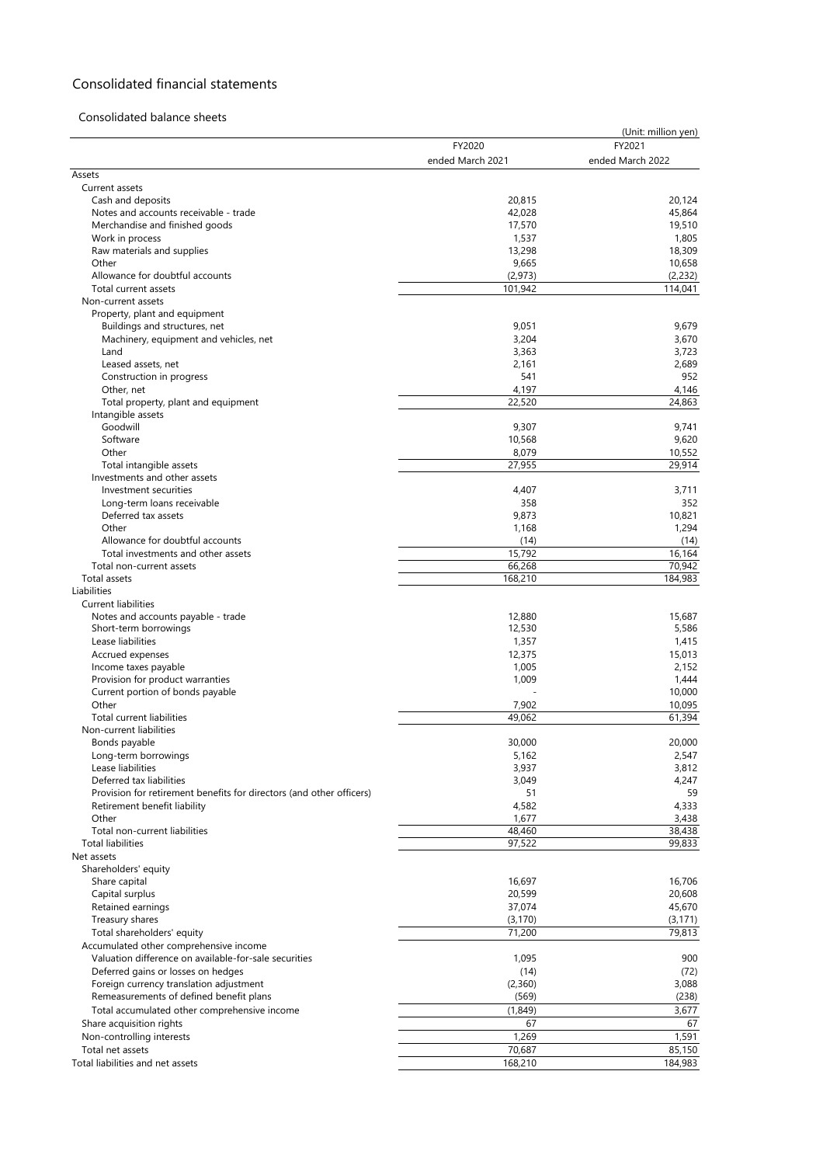# Consolidated financial statements

## Consolidated balance sheets

|                                                                      |                  | (Unit: million yen) |
|----------------------------------------------------------------------|------------------|---------------------|
|                                                                      | FY2020           | FY2021              |
| Assets                                                               | ended March 2021 | ended March 2022    |
| Current assets                                                       |                  |                     |
| Cash and deposits                                                    | 20,815           | 20,124              |
| Notes and accounts receivable - trade                                | 42,028           | 45,864              |
| Merchandise and finished goods                                       | 17,570           | 19,510              |
| Work in process                                                      | 1,537            | 1,805               |
| Raw materials and supplies                                           | 13,298           | 18,309              |
| Other                                                                | 9,665            | 10,658              |
| Allowance for doubtful accounts                                      | (2,973)          | (2,232)<br>114,041  |
| Total current assets<br>Non-current assets                           | 101,942          |                     |
| Property, plant and equipment                                        |                  |                     |
| Buildings and structures, net                                        | 9,051            | 9,679               |
| Machinery, equipment and vehicles, net                               | 3,204            | 3,670               |
| Land                                                                 | 3,363            | 3,723               |
| Leased assets, net                                                   | 2,161            | 2,689               |
| Construction in progress                                             | 541              | 952                 |
| Other, net                                                           | 4,197            | 4,146               |
| Total property, plant and equipment                                  | 22,520           | 24,863              |
| Intangible assets                                                    |                  |                     |
| Goodwill<br>Software                                                 | 9,307<br>10,568  | 9,741<br>9,620      |
| Other                                                                | 8,079            | 10,552              |
| Total intangible assets                                              | 27,955           | 29,914              |
| Investments and other assets                                         |                  |                     |
| Investment securities                                                | 4,407            | 3,711               |
| Long-term loans receivable                                           | 358              | 352                 |
| Deferred tax assets                                                  | 9,873            | 10,821              |
| Other                                                                | 1,168            | 1,294               |
| Allowance for doubtful accounts                                      | (14)             | (14)                |
| Total investments and other assets                                   | 15,792           | 16,164              |
| Total non-current assets                                             | 66,268           | 70,942              |
| Total assets                                                         | 168,210          | 184,983             |
| Liabilities<br><b>Current liabilities</b>                            |                  |                     |
| Notes and accounts payable - trade                                   | 12,880           | 15,687              |
| Short-term borrowings                                                | 12,530           | 5,586               |
| Lease liabilities                                                    | 1,357            | 1,415               |
| Accrued expenses                                                     | 12,375           | 15,013              |
| Income taxes payable                                                 | 1,005            | 2,152               |
| Provision for product warranties                                     | 1,009            | 1,444               |
| Current portion of bonds payable                                     |                  | 10,000              |
| Other                                                                | 7,902            | 10,095              |
| Total current liabilities                                            | 49,062           | 61,394              |
| Non-current liabilities                                              |                  |                     |
| Bonds payable<br>Long-term borrowings                                | 30,000<br>5,162  | 20,000<br>2,547     |
| Lease liabilities                                                    | 3,937            | 3,812               |
| Deferred tax liabilities                                             | 3,049            | 4,247               |
| Provision for retirement benefits for directors (and other officers) | 51               | 59                  |
| Retirement benefit liability                                         | 4,582            | 4,333               |
| Other                                                                | 1,677            | 3,438               |
| Total non-current liabilities                                        | 48,460           | 38,438              |
| <b>Total liabilities</b>                                             | 97,522           | 99,833              |
| Net assets                                                           |                  |                     |
| Shareholders' equity                                                 |                  |                     |
| Share capital<br>Capital surplus                                     | 16,697           | 16,706              |
| Retained earnings                                                    | 20,599<br>37,074 | 20,608<br>45,670    |
| Treasury shares                                                      | (3, 170)         | (3, 171)            |
| Total shareholders' equity                                           | 71,200           | 79,813              |
| Accumulated other comprehensive income                               |                  |                     |
| Valuation difference on available-for-sale securities                | 1,095            | 900                 |
| Deferred gains or losses on hedges                                   | (14)             | (72)                |
| Foreign currency translation adjustment                              | (2,360)          | 3,088               |
| Remeasurements of defined benefit plans                              | (569)            | (238)               |
| Total accumulated other comprehensive income                         | (1,849)          | 3,677               |
| Share acquisition rights                                             | 67               | 67                  |
| Non-controlling interests                                            | 1,269            | 1,591               |
| Total net assets                                                     | 70,687           | 85,150              |
| Total liabilities and net assets                                     | 168,210          | 184,983             |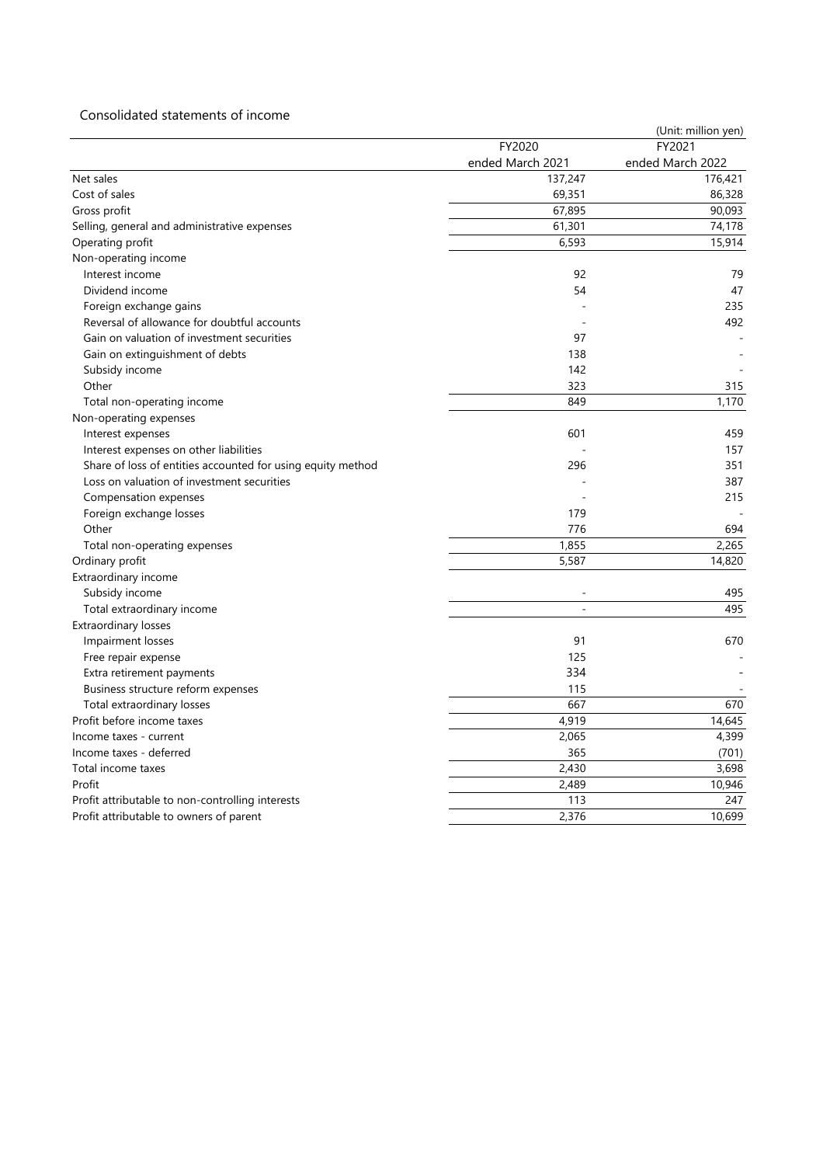## Consolidated statements of income

|                                                             |                  | (Unit: million yen) |
|-------------------------------------------------------------|------------------|---------------------|
|                                                             | FY2020           | FY2021              |
|                                                             | ended March 2021 | ended March 2022    |
| Net sales                                                   | 137,247          | 176,421             |
| Cost of sales                                               | 69,351           | 86,328              |
| Gross profit                                                | 67,895           | 90,093              |
| Selling, general and administrative expenses                | 61,301           | 74,178              |
| Operating profit                                            | 6,593            | 15,914              |
| Non-operating income                                        |                  |                     |
| Interest income                                             | 92               | 79                  |
| Dividend income                                             | 54               | 47                  |
| Foreign exchange gains                                      |                  | 235                 |
| Reversal of allowance for doubtful accounts                 |                  | 492                 |
| Gain on valuation of investment securities                  | 97               |                     |
| Gain on extinguishment of debts                             | 138              |                     |
| Subsidy income                                              | 142              |                     |
| Other                                                       | 323              | 315                 |
| Total non-operating income                                  | 849              | 1,170               |
| Non-operating expenses                                      |                  |                     |
| Interest expenses                                           | 601              | 459                 |
| Interest expenses on other liabilities                      |                  | 157                 |
| Share of loss of entities accounted for using equity method | 296              | 351                 |
| Loss on valuation of investment securities                  |                  | 387                 |
| Compensation expenses                                       |                  | 215                 |
| Foreign exchange losses                                     | 179              |                     |
| Other                                                       | 776              | 694                 |
| Total non-operating expenses                                | 1,855            | 2,265               |
| Ordinary profit                                             | 5,587            | 14,820              |
| Extraordinary income                                        |                  |                     |
| Subsidy income                                              |                  | 495                 |
| Total extraordinary income                                  |                  | 495                 |
| Extraordinary losses                                        |                  |                     |
| Impairment losses                                           | 91               | 670                 |
| Free repair expense                                         | 125              |                     |
| Extra retirement payments                                   | 334              |                     |
| Business structure reform expenses                          | 115              |                     |
| Total extraordinary losses                                  | 667              | 670                 |
| Profit before income taxes                                  | 4,919            | 14,645              |
| Income taxes - current                                      | 2,065            | 4,399               |
| Income taxes - deferred                                     | 365              | (701)               |
| Total income taxes                                          | 2,430            | 3,698               |
| Profit                                                      | 2,489            | 10,946              |
| Profit attributable to non-controlling interests            | 113              | 247                 |
| Profit attributable to owners of parent                     | 2,376            | 10,699              |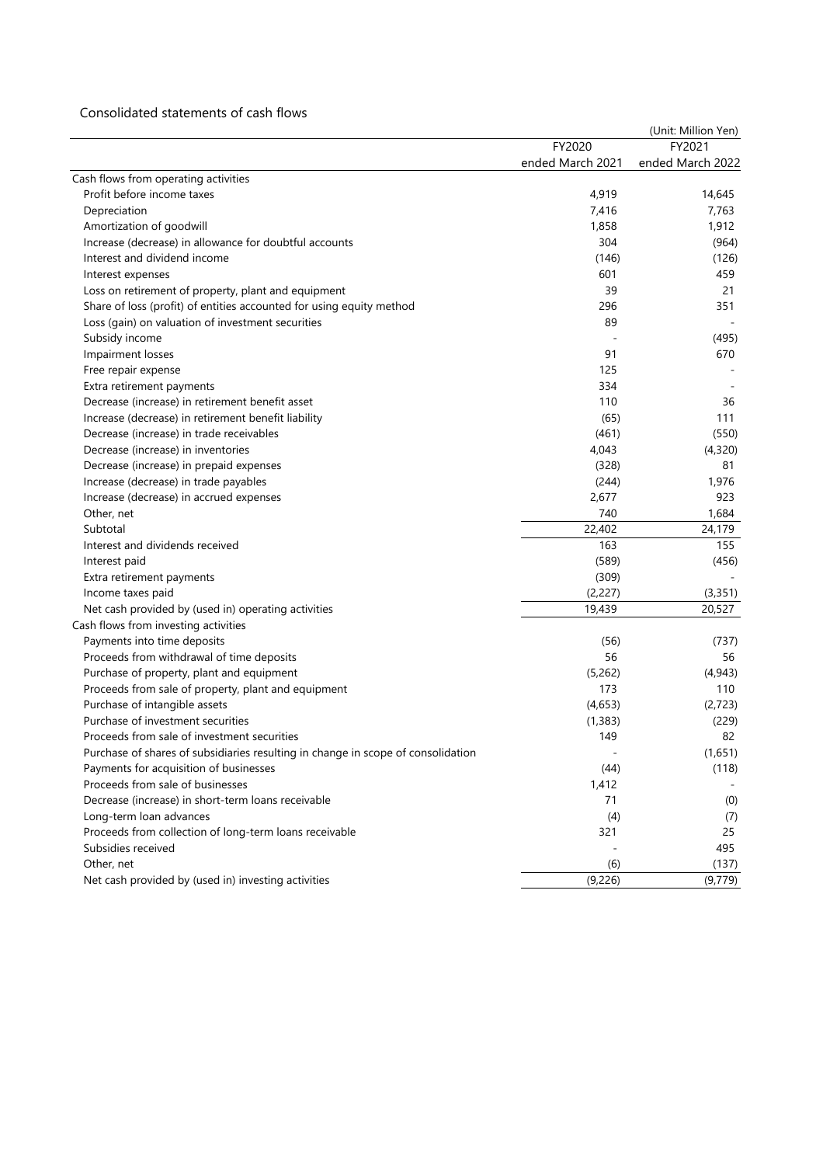## Consolidated statements of cash flows

|                                                                                  |                  | (Unit: Million Yen) |
|----------------------------------------------------------------------------------|------------------|---------------------|
|                                                                                  | FY2020           | FY2021              |
|                                                                                  | ended March 2021 | ended March 2022    |
| Cash flows from operating activities                                             |                  |                     |
| Profit before income taxes                                                       | 4,919            | 14,645              |
| Depreciation                                                                     | 7,416            | 7,763               |
| Amortization of goodwill                                                         | 1,858            | 1,912               |
| Increase (decrease) in allowance for doubtful accounts                           | 304              | (964)               |
| Interest and dividend income                                                     | (146)            | (126)               |
| Interest expenses                                                                | 601              | 459                 |
| Loss on retirement of property, plant and equipment                              | 39               | 21                  |
| Share of loss (profit) of entities accounted for using equity method             | 296              | 351                 |
| Loss (gain) on valuation of investment securities                                | 89               |                     |
| Subsidy income                                                                   |                  | (495)               |
| Impairment losses                                                                | 91               | 670                 |
| Free repair expense                                                              | 125              |                     |
| Extra retirement payments                                                        | 334              |                     |
| Decrease (increase) in retirement benefit asset                                  | 110              | 36                  |
| Increase (decrease) in retirement benefit liability                              | (65)             | 111                 |
| Decrease (increase) in trade receivables                                         | (461)            | (550)               |
| Decrease (increase) in inventories                                               | 4,043            | (4,320)             |
| Decrease (increase) in prepaid expenses                                          | (328)            | 81                  |
| Increase (decrease) in trade payables                                            | (244)            | 1.976               |
| Increase (decrease) in accrued expenses                                          | 2,677            | 923                 |
| Other, net                                                                       | 740              | 1,684               |
| Subtotal                                                                         | 22,402           | 24,179              |
| Interest and dividends received                                                  | 163              | 155                 |
| Interest paid                                                                    | (589)            | (456)               |
| Extra retirement payments                                                        | (309)            |                     |
| Income taxes paid                                                                | (2,227)          | (3, 351)            |
| Net cash provided by (used in) operating activities                              | 19,439           | 20,527              |
| Cash flows from investing activities                                             |                  |                     |
| Payments into time deposits                                                      | (56)             | (737)               |
| Proceeds from withdrawal of time deposits                                        | 56               | 56                  |
| Purchase of property, plant and equipment                                        | (5,262)          | (4,943)             |
| Proceeds from sale of property, plant and equipment                              | 173              | 110                 |
| Purchase of intangible assets                                                    | (4,653)          | (2, 723)            |
| Purchase of investment securities                                                | (1, 383)         | (229)               |
| Proceeds from sale of investment securities                                      | 149              | 82                  |
| Purchase of shares of subsidiaries resulting in change in scope of consolidation | ä,               | (1,651)             |
| Payments for acquisition of businesses                                           | (44)             | (118)               |
| Proceeds from sale of businesses                                                 | 1,412            |                     |
| Decrease (increase) in short-term loans receivable                               | 71               | (0)                 |
| Long-term loan advances                                                          | (4)              | (7)                 |
| Proceeds from collection of long-term loans receivable                           | 321              | 25                  |
| Subsidies received                                                               |                  | 495                 |
| Other, net                                                                       | (6)              | (137)               |
| Net cash provided by (used in) investing activities                              | (9,226)          | (9,779)             |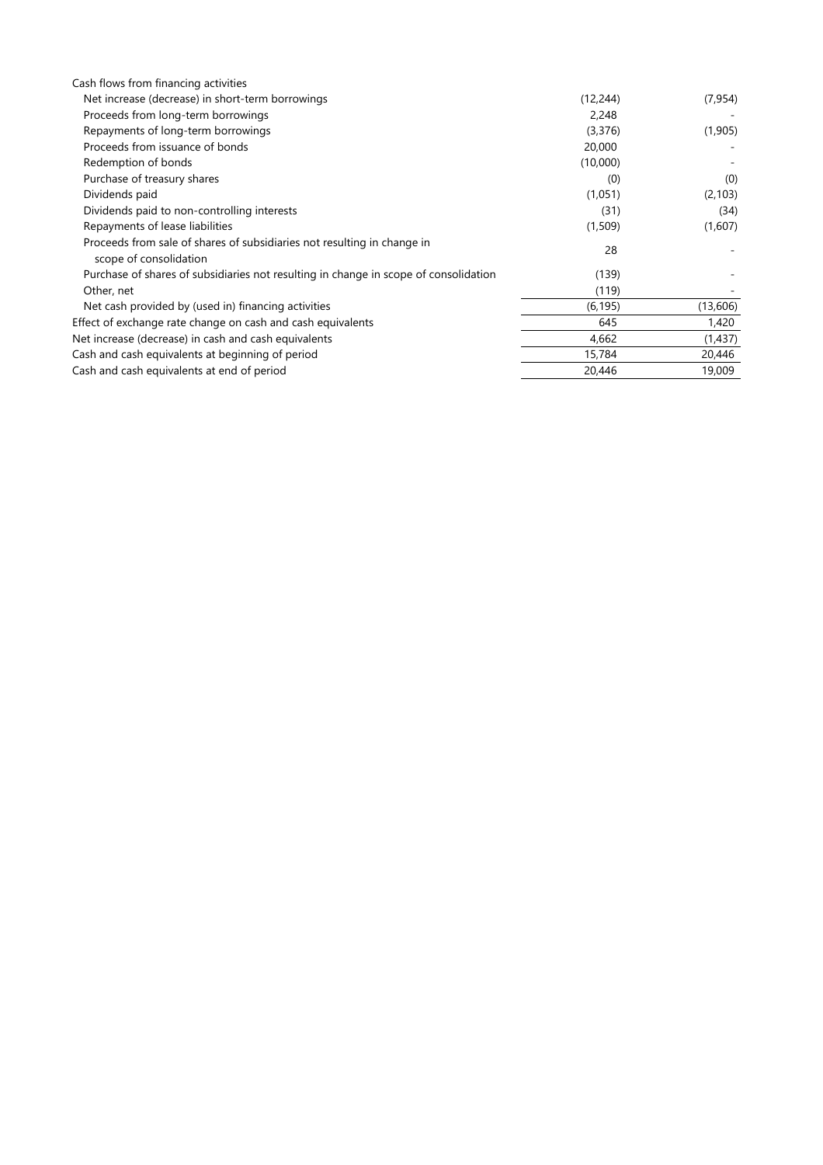| Cash flows from financing activities                                                              |           |          |
|---------------------------------------------------------------------------------------------------|-----------|----------|
| Net increase (decrease) in short-term borrowings                                                  | (12, 244) | (7, 954) |
| Proceeds from long-term borrowings                                                                | 2,248     |          |
| Repayments of long-term borrowings                                                                | (3,376)   | (1,905)  |
| Proceeds from issuance of bonds                                                                   | 20,000    |          |
| Redemption of bonds                                                                               | (10,000)  |          |
| Purchase of treasury shares                                                                       | (0)       | (0)      |
| Dividends paid                                                                                    | (1,051)   | (2, 103) |
| Dividends paid to non-controlling interests                                                       | (31)      | (34)     |
| Repayments of lease liabilities                                                                   | (1,509)   | (1,607)  |
| Proceeds from sale of shares of subsidiaries not resulting in change in<br>scope of consolidation | 28        |          |
| Purchase of shares of subsidiaries not resulting in change in scope of consolidation              | (139)     |          |
| Other, net                                                                                        | (119)     |          |
| Net cash provided by (used in) financing activities                                               | (6, 195)  | (13,606) |
| Effect of exchange rate change on cash and cash equivalents                                       | 645       | 1,420    |
| Net increase (decrease) in cash and cash equivalents                                              | 4,662     | (1,437)  |
| Cash and cash equivalents at beginning of period                                                  | 15,784    | 20,446   |
| Cash and cash equivalents at end of period                                                        | 20,446    | 19,009   |